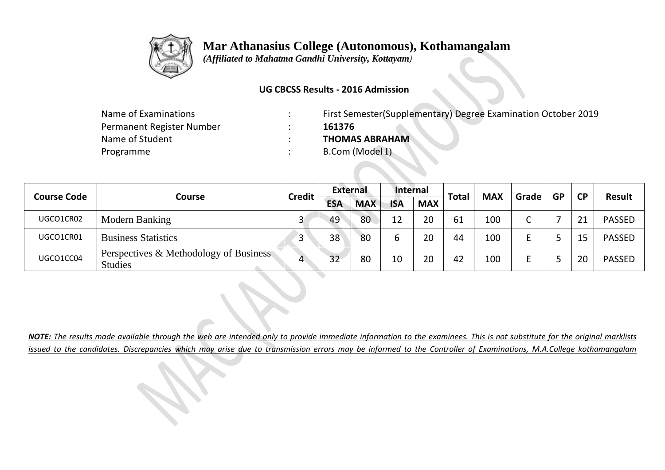

 **Mar Athanasius College (Autonomous), Kothamangalam**

 *(Affiliated to Mahatma Gandhi University, Kottayam)*

## **UG CBCSS Results - 2016 Admission**

| Name of Examinations      | First Semester (Supplementary) Degree Examination October 2019 |
|---------------------------|----------------------------------------------------------------|
| Permanent Register Number | 161376                                                         |
| Name of Student           | <b>THOMAS ABRAHAM</b>                                          |
| Programme                 | B.Com (Model I)                                                |

| <b>Course Code</b> | Course                                                   | <b>Credit</b> | <b>External</b> |            | Internal   |            | <b>Total</b> | <b>MAX</b> | Grade | <b>GP</b> | <b>CP</b> | <b>Result</b> |
|--------------------|----------------------------------------------------------|---------------|-----------------|------------|------------|------------|--------------|------------|-------|-----------|-----------|---------------|
|                    |                                                          |               | <b>ESA</b>      | <b>MAX</b> | <b>ISA</b> | <b>MAX</b> |              |            |       |           |           |               |
| UGCO1CR02          | Modern Banking                                           |               | 49              | 80         | 12         | 20         | 61           | 100        | ∼     |           | ົາ 1      | <b>PASSED</b> |
| UGCO1CR01          | <b>Business Statistics</b>                               |               | 38              | 80         |            | 20         | 44           | 100        |       |           | 15        | <b>PASSED</b> |
| UGCO1CC04          | Perspectives & Methodology of Business<br><b>Studies</b> | 4             | 32              | 80         | 10         | 20         | 42           | 100        |       |           | 20        | <b>PASSED</b> |

*NOTE: The results made available through the web are intended only to provide immediate information to the examinees. This is not substitute for the original marklists issued to the candidates. Discrepancies which may arise due to transmission errors may be informed to the Controller of Examinations, M.A.College kothamangalam*